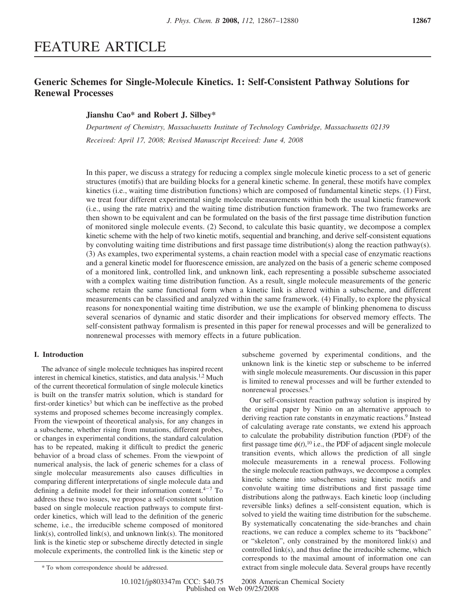# **Generic Schemes for Single-Molecule Kinetics. 1: Self-Consistent Pathway Solutions for Renewal Processes**

# **Jianshu Cao\* and Robert J. Silbey\***

*Department of Chemistry, Massachusetts Institute of Technology Cambridge, Massachusetts 02139 Recei*V*ed: April 17, 2008; Re*V*ised Manuscript Recei*V*ed: June 4, 2008*

In this paper, we discuss a strategy for reducing a complex single molecule kinetic process to a set of generic structures (motifs) that are building blocks for a general kinetic scheme. In general, these motifs have complex kinetics (i.e., waiting time distribution functions) which are composed of fundamental kinetic steps. (1) First, we treat four different experimental single molecule measurements within both the usual kinetic framework (i.e., using the rate matrix) and the waiting time distribution function framework. The two frameworks are then shown to be equivalent and can be formulated on the basis of the first passage time distribution function of monitored single molecule events. (2) Second, to calculate this basic quantity, we decompose a complex kinetic scheme with the help of two kinetic motifs, sequential and branching, and derive self-consistent equations by convoluting waiting time distributions and first passage time distribution(s) along the reaction pathway(s). (3) As examples, two experimental systems, a chain reaction model with a special case of enzymatic reactions and a general kinetic model for fluorescence emission, are analyzed on the basis of a generic scheme composed of a monitored link, controlled link, and unknown link, each representing a possible subscheme associated with a complex waiting time distribution function. As a result, single molecule measurements of the generic scheme retain the same functional form when a kinetic link is altered within a subscheme, and different measurements can be classified and analyzed within the same framework. (4) Finally, to explore the physical reasons for nonexponential waiting time distribution, we use the example of blinking phenomena to discuss several scenarios of dynamic and static disorder and their implications for observed memory effects. The self-consistent pathway formalism is presented in this paper for renewal processes and will be generalized to nonrenewal processes with memory effects in a future publication.

# **I. Introduction**

The advance of single molecule techniques has inspired recent interest in chemical kinetics, statistics, and data analysis.<sup>1,2</sup> Much of the current theoretical formulation of single molecule kinetics is built on the transfer matrix solution, which is standard for first-order kinetics<sup>3</sup> but which can be ineffective as the probed systems and proposed schemes become increasingly complex. From the viewpoint of theoretical analysis, for any changes in a subscheme, whether rising from mutations, different probes, or changes in experimental conditions, the standard calculation has to be repeated, making it difficult to predict the generic behavior of a broad class of schemes. From the viewpoint of numerical analysis, the lack of generic schemes for a class of single molecular measurements also causes difficulties in comparing different interpretations of single molecule data and defining a definite model for their information content. $4-7$  To address these two issues, we propose a self-consistent solution based on single molecule reaction pathways to compute firstorder kinetics, which will lead to the definition of the generic scheme, i.e., the irreducible scheme composed of monitored link(s), controlled link(s), and unknown link(s). The monitored link is the kinetic step or subscheme directly detected in single molecule experiments, the controlled link is the kinetic step or

subscheme governed by experimental conditions, and the unknown link is the kinetic step or subscheme to be inferred with single molecule measurements. Our discussion in this paper is limited to renewal processes and will be further extended to nonrenewal processes.8

Our self-consistent reaction pathway solution is inspired by the original paper by Ninio on an alternative approach to deriving reaction rate constants in enzymatic reactions.<sup>9</sup> Instead of calculating average rate constants, we extend his approach to calculate the probability distribution function (PDF) of the first passage time  $\phi(t)$ ,<sup>10</sup> i.e., the PDF of adjacent single molecule transition events, which allows the prediction of all single molecule measurements in a renewal process. Following the single molecule reaction pathways, we decompose a complex kinetic scheme into subschemes using kinetic motifs and convolute waiting time distributions and first passage time distributions along the pathways. Each kinetic loop (including reversible links) defines a self-consistent equation, which is solved to yield the waiting time distribution for the subscheme. By systematically concatenating the side-branches and chain reactions, we can reduce a complex scheme to its "backbone" or "skeleton", only constrained by the monitored link(s) and controlled link(s), and thus define the irreducible scheme, which corresponds to the maximal amount of information one can \* To whom correspondence should be addressed. extract from single molecule data. Several groups have recently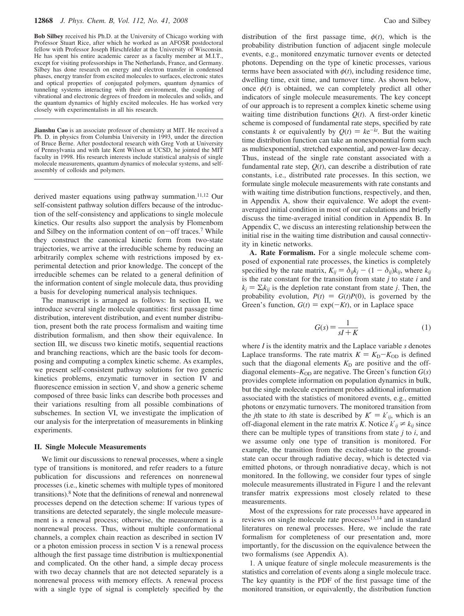**Bob Silbey** received his Ph.D. at the University of Chicago working with Professor Stuart Rice, after which he worked as an AFOSR postdoctoral fellow with Professor Joseph Hirschfelder at the University of Wisconsin. He has spent his entire academic career as a faculty member at M.I.T., except for visiting professorships in The Netherlands, France, and Germany. Silbey has done research on energy and electron transfer in condensed phases, energy transfer from excited molecules to surfaces, electronic states and optical properties of conjugated polymers, quantum dynamics of tunneling systems interacting with their environment, the coupling of vibrational and electronic degrees of freedom in molecules and solids, and the quantum dynamics of highly excited molecules. He has worked very closely with experimentalists in all his research.

**Jianshu Cao** is an associate professor of chemistry at MIT. He received a Ph. D. in physics from Columbia University in 1993, under the direction of Bruce Berne. After postdoctoral research with Greg Voth at University of Pennsylvania and with late Kent Wilson at UCSD, he jointed the MIT faculty in 1998. His research interests include statistical analysis of single molecule measurements, quantum dynamics of molecular systems, and selfassembly of colloids and polymers.

derived master equations using pathway summation.<sup>11,12</sup> Our self-consistent pathway solution differs because of the introduction of the self-consistency and applications to single molecule kinetics. Our results also support the analysis by Flomenbom and Silbey on the information content of on $-$ off traces.<sup>7</sup> While they construct the canonical kinetic form from two-state trajectories, we arrive at the irreducible scheme by reducing an arbitrarily complex scheme with restrictions imposed by experimental detection and prior knowledge. The concept of the irreducible schemes can be related to a general definition of the information content of single molecule data, thus providing a basis for developing numerical analysis techniques.

The manuscript is arranged as follows: In section II, we introduce several single molecule quantities: first passage time distribution, interevent distribution, and event number distribution, present both the rate process formalism and waiting time distribution formalism, and then show their equivalence. In section III, we discuss two kinetic motifs, sequential reactions and branching reactions, which are the basic tools for decomposing and computing a complex kinetic scheme. As examples, we present self-consistent pathway solutions for two generic kinetics problems, enzymatic turnover in section IV and fluorescence emission in section V, and show a generic scheme composed of three basic links can describe both processes and their variations resulting from all possible combinations of subschemes. In section VI, we investigate the implication of our analysis for the interpretation of measurements in blinking experiments.

#### **II. Single Molecule Measurements**

We limit our discussions to renewal processes, where a single type of transitions is monitored, and refer readers to a future publication for discussions and references on nonrenewal processes (i.e., kinetic schemes with multiple types of monitored transitions).8 Note that the definitions of renewal and nonrenewal processes depend on the detection scheme: If various types of transitions are detected separately, the single molecule measurement is a renewal process; otherwise, the measurement is a nonrenewal process. Thus, without multiple conformational channels, a complex chain reaction as described in section IV or a photon emission process in section V is a renewal process although the first passage time distribution is multiexponential and complicated. On the other hand, a simple decay process with two decay channels that are not detected separately is a nonrenewal process with memory effects. A renewal process with a single type of signal is completely specified by the distribution of the first passage time,  $\phi(t)$ , which is the probability distribution function of adjacent single molecule events, e.g., monitored enzymatic turnover events or detected photons. Depending on the type of kinetic processes, various terms have been associated with  $\phi(t)$ , including residence time, dwelling time, exit time, and turnover time. As shown below, once  $\phi(t)$  is obtained, we can completely predict all other indicators of single molecule measurements. The key concept of our approach is to represent a complex kinetic scheme using waiting time distribution functions  $Q(t)$ . A first-order kinetic scheme is composed of fundamental rate steps, specified by rate constants *k* or equivalently by  $Q(t) = ke^{-kt}$ . But the waiting time distribution function can take an nonexponential form such as multiexponential, stretched exponential, and power-law decay. Thus, instead of the single rate constant associated with a fundamental rate step,  $Q(t)$ , can describe a distribution of rate constants, i.e., distributed rate processes. In this section, we formulate single molecule measurements with rate constants and with waiting time distribution functions, respectively, and then, in Appendix A, show their equivalence. We adopt the eventaveraged initial condition in most of our calculations and briefly discuss the time-averaged initial condition in Appendix B. In Appendix C, we discuss an interesting relationship between the initial rise in the waiting time distribution and causal connectivity in kinetic networks.

**A. Rate Formalism.** For a single molecule scheme composed of exponential rate processes, the kinetics is completely specified by the rate matrix,  $K_{ij} = \delta_{ij} k_j - (1 - \delta_{ij}) k_{ij}$ , where  $k_{ij}$ is the rate constant for the transition from state *j* to state *i* and  $k_j = \sum_i k_{ij}$  is the depletion rate constant from state *j*. Then, the probability evolution,  $P(t) = G(t)P(0)$ , is governed by the Green's function,  $G(t) = \exp(-Kt)$ , or in Laplace space

$$
G(s) = \frac{1}{sI + K} \tag{1}
$$

where *I* is the identity matrix and the Laplace variable *s* denotes Laplace transforms. The rate matrix  $K = K_D - K_{OD}$  is defined such that the diagonal elements  $K<sub>D</sub>$  are positive and the offdiagonal elements– $K_{OD}$  are negative. The Green's function  $G(s)$ provides complete information on population dynamics in bulk, but the single molecule experiment probes additional information associated with the statistics of monitored events, e.g., emitted photons or enzymatic turnovers. The monitored transition from the *j*th state to *i*th state is described by  $K' = k'_{ij}$ , which is an off-diagonal element in the rate matrix *K*. Notice  $k'_{ij} \neq k_{ij}$  since there can be multiple types of transitions from state *j* to *i*, and we assume only one type of transition is monitored. For example, the transition from the excited-state to the groundstate can occur through radiative decay, which is detected via emitted photons, or through nonradiative decay, which is not monitored. In the following, we consider four types of single molecule measurements illustrated in Figure 1 and the relevant transfer matrix expressions most closely related to these measurements.

Most of the expressions for rate processes have appeared in reviews on single molecule rate processes<sup>13,14</sup> and in standard literatures on renewal processes. Here, we include the rate formalism for completeness of our presentation and, more importantly, for the discussion on the equivalence between the two formalisms (see Appendix A).

1. A unique feature of single molecule measurements is the statistics and correlation of events along a single molecule trace. The key quantity is the PDF of the first passage time of the monitored transition, or equivalently, the distribution function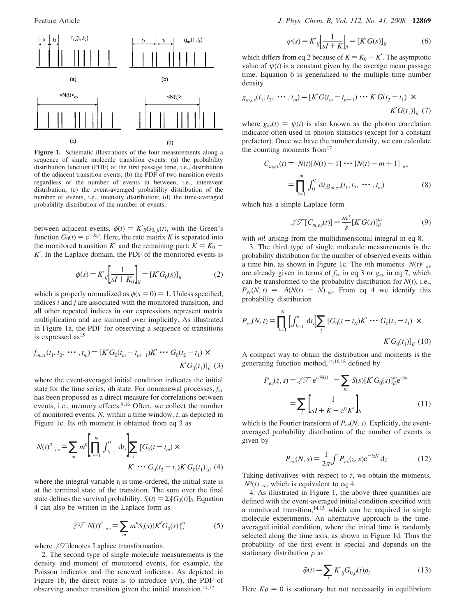

Figure 1. Schematic illustrations of the four measurements along a sequence of single molecule transition events: (a) the probability distribution function (PDF) of the first passage time, i.e., distribution of the adjacent transition events; (b) the PDF of two transition events regardless of the number of events in between, i.e., interevent distribution; (c) the event-averaged probability distribution of the number of events, i.e., intensity distribution; (d) the time-averaged probability distribution of the number of events.

between adjacent events,  $\phi(t) = K'_{ij}G_{0,ji}(t)$ , with the Green's function  $G_0(t) = e^{-K_0 t}$ . Here, the rate matrix *K* is separated into the monitored transition *K'* and the remaining part:  $K = K_0$ the monitored transition *K'* and the remaining part:  $K = K_0$  – *K*′. In the Laplace domain, the PDF of the monitored events is

$$
\phi(s) = K'_{ij} \left[ \frac{1}{sI + K_0} \right]_{ji} = [K'G_0(s)]_{ii}
$$
 (2)

which is properly normalized as  $\phi(s = 0) = 1$ . Unless specified, indices *i* and *j* are associated with the monitored transition, and all other repeated indices in our expressions represent matrix multiplication and are summed over implicitly. As illustrated in Figure 1a, the PDF for observing a sequence of transitions is expressed as<sup>15</sup>

$$
f_{m,ev}(t_1, t_2, \cdots, t_m) = [K'G_0(t_m - t_{m-1})K' \cdots G_0(t_2 - t_1) \times
$$
  

$$
K'G_0(t_1)]_{ii}
$$
 (3)

where the event-averaged initial condition indicates the initial state for the time series, *i*th state. For nonrenewal processes,  $f_{ev}$ has been proposed as a direct measure for correlations between events, i.e., memory effects.<sup>8,16</sup> Often, we collect the number of monitored events, *N*, within a time window, *t*, as depicted in Figure 1c. Its *n*th moment is obtained from eq 3 as

$$
\langle N(t)^n \rangle_{ev} = \sum_m m^n \left[ \prod_{i=1}^m \int_{t_{i-1}}^t dt_i \right] \sum_l [G_0(t - t_m) \times K' \cdots G_0(t_2 - t_1) K' G_0(t_1)]_{li} \tag{4}
$$

where the integral variable  $t_i$  is time-ordered, the initial state is at the terminal state of the transition. The sum over the final state defines the survival probability,  $S_i(t) = \sum_i [G_0(t)]_{ii}$ . Equation 4 can also be written in the Laplace form as

$$
\mathcal{L}\mathcal{T}\langle N(t)^{n}\rangle_{ev} = \sum_{m} m^{n} S_{i}(s) [K'G_{0}(s)]_{ii}^{m}
$$
 (5)

where  $\mathscr{D}$  denotes Laplace transformation.

2. The second type of single molecule measurements is the density and moment of monitored events, for example, the Poisson indicator and the renewal indicator. As depicted in Figure 1b, the direct route is to introduce  $\psi(t)$ , the PDF of observing another transition given the initial transition, $14,17$ 

$$
\psi(s) = K'_{ij} \left[ \frac{1}{sI + K} \right]_{ji} = [K'G(s)]_{ii}
$$
\n<sup>(6)</sup>

which differs from eq 2 because of  $K = K_0 - K'$ . The asymptotic value of  $v(t)$  is a constant given by the average mean passage value of  $\psi(t)$  is a constant given by the average mean passage time. Equation 6 is generalized to the multiple time number density

$$
g_{m,ev}(t_1, t_2, \cdots, t_m) = [K'G(t_m - t_{m-1}) \cdots K'G(t_2 - t_1) \times K'G(t_1)]_{ii}
$$
 (7)

where  $g_{ev}(t) = \psi(t)$  is also known as the photon correlation indicator often used in photon statistics (except for a constant prefactor). Once we have the number density, we can calculate the counting moments from<sup>17</sup>

$$
C_{m,ev}(t) = \langle N(t)[N(t) - 1] \cdots [N(t) - m + 1] \rangle_{ev}
$$
  
= 
$$
\prod_{i=1}^{m} \int_{0}^{t} dt_{i} g_{m,ev}(t_{1}, t_{2}, \cdots, t_{m})
$$
 (8)

which has a simple Laplace form

$$
\mathcal{J}\mathcal{T}[C_{m,ev}(t)] = \frac{m!}{s} [K'G(s)]_{ii}^m \tag{9}
$$

with *m*! arising from the multidimensional integral in eq 8.

3. The third type of single molecule measurements is the probability distribution for the number of observed events within a time bin, as shown in Figure 1c. The *n*th moments  $\langle N(t)^{n} \rangle_{ev}$ are already given in terms of  $f_{ev}$  in eq 3 or  $g_{ev}$  in eq 7, which can be transformed to the probability distribution for *N*(*t*), i.e.,  $P_{ev}(N, t) = \langle \delta(N(t) - N) \rangle_{ev}$ . From eq 4 we identify this probability distribution

$$
P_{ev}(N,t) = \prod_{i=1}^{N} \Big[ \int_{t_{i-1}}^{t} dt_i \Big] \sum_{l} \Big[ G_0(t - t_N) K' \cdots G_0(t_2 - t_1) \times
$$
  

$$
K' G_0(t_1) \Big]_{li} (10)
$$

A compact way to obtain the distribution and moments is the generating function method, $14,16,18$  defined by

$$
P_{ev}(z, s) = \mathcal{Z} \mathcal{T} \langle e^{izN(t)} \rangle = \sum_{m} S(s) [K'G_0(s)]_{ii}^{m} e^{izm}
$$

$$
= \sum_{l} \left[ \frac{1}{sI + K - e^{iz} K'} \right]_{li} \tag{11}
$$

which is the Fourier transform of  $P_{ev}(N, s)$ . Explicitly, the event-<br>expressed probability distribution of the number of events is averaged probability distribution of the number of events is given by

$$
P_{ev}(N,s) = \frac{1}{2\pi} \int P_{ev}(z,s) e^{-izN} dz
$$
 (12)

Taking derivatives with respect to *z*, we obtain the moments,  $\langle N^n(t) \rangle_{ev}$ , which is equivalent to eq 4.

4. As illustrated in Figure 1, the above three quantities are defined with the event-averaged initial condition specified with a monitored transition, $14,15$  which can be acquired in single molecule experiments. An alternative approach is the timeaveraged initial condition, where the initial time is randomly selected along the time axis, as shown in Figure 1d. Thus the probability of the first event is special and depends on the stationary distribution  $\rho$  as

$$
\tilde{\phi}(t) = \sum_{l} K'_{ij} G_{0,jl}(t) \rho_l \tag{13}
$$

Here  $K\rho = 0$  is stationary but not necessarily in equilibrium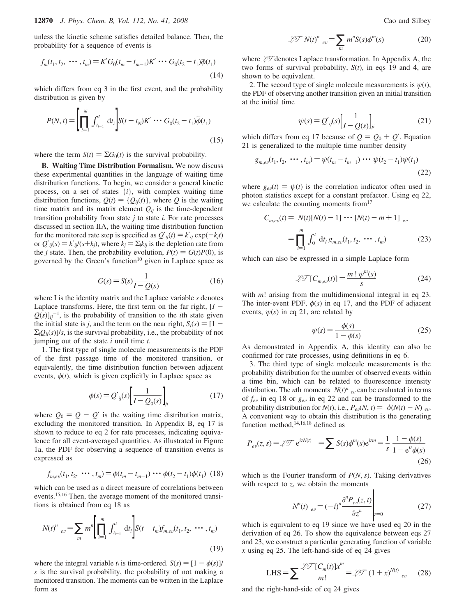unless the kinetic scheme satisfies detailed balance. Then, the probability for a sequence of events is

$$
f_m(t_1, t_2, \cdots, t_m) = K' G_0(t_m - t_{m-1}) K' \cdots G_0(t_2 - t_1) \vec{\phi}(t_1)
$$
\n(14)

which differs from eq 3 in the first event, and the probability distribution is given by

$$
P(N,t) = \left[\prod_{i=1}^{N} \int_{t_{i-1}}^{t} dt_i\right] S(t - t_N) K' \cdots G_0(t_2 - t_1) \tilde{\phi}(t_1)
$$
\n(15)

where the term  $S(t) = \sum G_0(t)$  is the survival probability.

**B. Waiting Time Distribution Formalism.** We now discuss these experimental quantities in the language of waiting time distribution functions. To begin, we consider a general kinetic process, on a set of states {*i*}, with complex waiting time distribution functions,  $Q(t) = \{Q_{ij}(t)\}\$ , where *Q* is the waiting time matrix and its matrix element  $Q_{ij}$  is the time-dependent transition probability from state *j* to state *i*. For rate processes discussed in section IIA, the waiting time distribution function for the monitored rate step is specified as  $Q'_{ij}(t) = k'_{ij} \exp(-k_j t)$ or  $Q'_{ij}(s) = k'_{ij}/(s+k_j)$ , where  $k_j = \sum_i k_{lj}$  is the depletion rate from the *j* state. Then, the probability evolution,  $P(t) = G(t)P(0)$ , is governed by the Green's function $10$  given in Laplace space as

$$
G(s) = S(s) \frac{1}{I - Q(s)}\tag{16}
$$

where I is the identity matrix and the Laplace variable *s* denotes Laplace transforms. Here, the first term on the far right,  $[I -]$  $Q(s)|_{ij}^{-1}$ , is the probability of transition to the *i*th state given the initial state is *j*, and the term on the near right,  $S_i(s) = [1 \Sigma_lQ_l(s)/s$ , is the survival probability, i.e., the probability of not jumping out of the state *i* until time *t*.

1. The first type of single molecule measurements is the PDF of the first passage time of the monitored transition, or equivalently, the time distribution function between adjacent events,  $\phi(t)$ , which is given explicitly in Laplace space as

$$
\phi(s) = Q'_{ij}(s) \left[ \frac{1}{I - Q_0(s)} \right]_{ji} \tag{17}
$$

where  $Q_0 = Q - Q'$  is the waiting time distribution matrix, excluding the monitored transition. In Appendix B, eq 17 is shown to reduce to eq 2 for rate processes, indicating equivalence for all event-averaged quantities. As illustrated in Figure 1a, the PDF for observing a sequence of transition events is expressed as

$$
f_{m,ev}(t_1, t_2, \cdots, t_m) = \phi(t_m - t_{m-1}) \cdots \phi(t_2 - t_1) \phi(t_1) \tag{18}
$$

which can be used as a direct measure of correlations between events.15,16 Then, the average moment of the monitored transitions is obtained from eq 18 as

$$
\langle N(t)^n \rangle_{ev} = \sum_m m^n \left[ \prod_{i=1}^m \int_{t_{i-1}}^t dt_i \right] S(t - t_m) f_{m,ev}(t_1, t_2, \cdots, t_m)
$$
\n(19)

where the integral variable  $t_i$  is time-ordered.  $S(s) = [1 - \phi(s)]/$ *s* is the survival probability, the probability of not making a monitored transition. The moments can be written in the Laplace form as

$$
\mathcal{I}\mathcal{T}\langle N(t)^{n}\rangle_{ev} = \sum_{m} m^{n} S(s) \phi^{m}(s)
$$
 (20)

where  $\sqrt{2}$  denotes Laplace transformation. In Appendix A, the two forms of survival probability, *S*(*t*), in eqs 19 and 4, are shown to be equivalent.

2. The second type of single molecule measurements is  $\psi(t)$ , the PDF of observing another transition given an initial transition at the initial time

$$
\psi(s) = Q'_{ij}(s) \Big[ \frac{1}{I - Q(s)} \Big]_{ji} \tag{21}
$$

which differs from eq 17 because of  $Q = Q_0 + Q'$ . Equation 21 is generalized to the multiple time number density 21 is generalized to the multiple time number density

$$
g_{m,ev}(t_1, t_2, \cdots, t_m) = \psi(t_m - t_{m-1}) \cdots \psi(t_2 - t_1) \psi(t_1)
$$
\n(22)

where  $g_{ev}(t) = \psi(t)$  is the correlation indicator often used in photon statistics except for a constant prefactor. Using eq 22, we calculate the counting moments from<sup>17</sup>

$$
C_{m,ev}(t) = \langle N(t)[N(t) - 1] \cdots [N(t) - m + 1] \rangle_{ev}
$$
  
= 
$$
\prod_{i=1}^{m} \int_{0}^{t} dt_{i} g_{m,ev}(t_{1}, t_{2}, \cdots, t_{m})
$$
 (23)

which can also be expressed in a simple Laplace form

$$
\mathcal{ZT}[C_{m,ev}(t)] = \frac{m! \psi^m(s)}{s} \tag{24}
$$

with *m*! arising from the multidimensional integral in eq 23. The inter-event PDF,  $\phi(s)$  in eq 17, and the PDF of adjacent events,  $\psi(s)$  in eq 21, are related by

$$
\psi(s) = \frac{\phi(s)}{1 - \phi(s)}
$$
 (25)  
As demonstrated in Appendix A, this identity can also be

confirmed for rate processes, using definitions in eq 6.

3. The third type of single molecule measurements is the probability distribution for the number of observed events within a time bin, which can be related to fluorescence intensity distribution. The *n*th moments  $\langle N(t)^n \rangle_{ev}$  can be evaluated in terms of  $f_{ev}$  in eq 18 or  $g_{ev}$  in eq 22 and can be transformed to the probability distribution for *N*(*t*), i.e.,  $P_{ev}(N, t) = \langle \delta(N(t) - N) \rangle_{ev}$ . A convenient way to obtain this distribution is the generating function method, $14,16,18$  defined as

$$
P_{ev}(z,s) = \mathcal{Z} \mathcal{T} \langle e^{izN(t)} \rangle = \sum S(s) \phi^m(s) e^{izm} = \frac{1}{s} \frac{1 - \phi(s)}{1 - e^{iz} \phi(s)}
$$
(26)

which is the Fourier transform of *P*(*N*, *s*). Taking derivatives with respect to *z*, we obtain the moments

$$
\langle N^n(t) \rangle_{ev} = (-i)^n \frac{\partial^n P_{ev}(z, t)}{\partial z^n} \Big|_{z=0}
$$
 (27)

which is equivalent to eq 19 since we have used eq 20 in the derivation of eq 26. To show the equivalence between eqs 27 and 23, we construct a particular generating function of variable *x* using eq 25. The left-hand-side of eq 24 gives

LHS = 
$$
\sum \frac{\sqrt[2]{\mathcal{F}}[C_m(t)]x^m}{m!} = \sqrt[2]{\mathcal{F}}\langle (1+x)^{N(t)} \rangle_{ev}
$$
 (28)

and the right-hand-side of eq 24 gives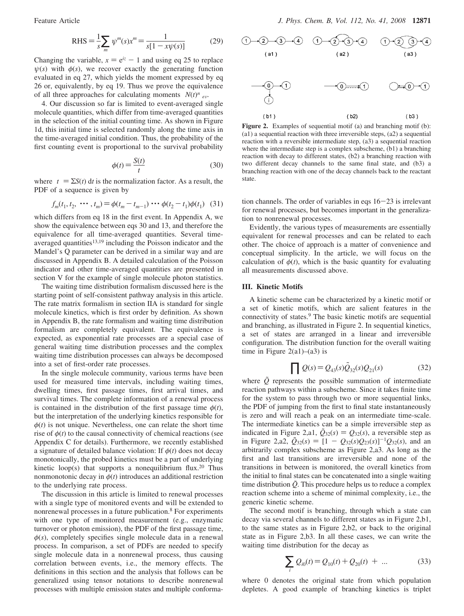RHS = 
$$
\frac{1}{s} \sum_{m} \psi^{m}(s) x^{m} = \frac{1}{s[1 - x\psi(s)]}
$$
 (29)

Changing the variable,  $x = e^{iz} - 1$  and using eq 25 to replace  $ψ(s)$  with  $φ(s)$ , we recover exactly the generating function evaluated in eq 27, which yields the moment expressed by eq 26 or, equivalently, by eq 19. Thus we prove the equivalence of all three approaches for calculating moments  $\langle N(t)^n \rangle_{ev}$ .

4. Our discussion so far is limited to event-averaged single molecule quantities, which differ from time-averaged quantities in the selection of the initial counting time. As shown in Figure 1d, this initial time is selected randomly along the time axis in the time-averaged initial condition. Thus, the probability of the first counting event is proportional to the survival probability

$$
\phi(t) = \frac{S(t)}{\langle t \rangle} \tag{30}
$$

where  $\langle t \rangle = \sum S(t) dt$  is the normalization factor. As a result, the PDF of a sequence is given by

$$
f_m(t_1, t_2, \cdots, t_m) = \phi(t_m - t_{m-1}) \cdots \phi(t_2 - t_1) \phi(t_1) \tag{31}
$$

which differs from eq 18 in the first event. In Appendix A, we show the equivalence between eqs 30 and 13, and therefore the equivalence for all time-averaged quantities. Several timeaveraged quantities<sup>13,19</sup> including the Poisson indicator and the Mandel's Q parameter can be derived in a similar way and are discussed in Appendix B. A detailed calculation of the Poisson indicator and other time-averaged quantities are presented in section V for the example of single molecule photon statistics.

The waiting time distribution formalism discussed here is the starting point of self-consistent pathway analysis in this article. The rate matrix formalism in section IIA is standard for single molecule kinetics, which is first order by definition. As shown in Appendix B, the rate formalism and waiting time distribution formalism are completely equivalent. The equivalence is expected, as exponential rate processes are a special case of general waiting time distribution processes and the complex waiting time distribution processes can always be decomposed into a set of first-order rate processes.

In the single molecule community, various terms have been used for measured time intervals, including waiting times, dwelling times, first passage times, first arrival times, and survival times. The complete information of a renewal process is contained in the distribution of the first passage time  $\phi(t)$ , but the interpretation of the underlying kinetics responsible for  $\phi(t)$  is not unique. Nevertheless, one can relate the short time rise of  $\phi(t)$  to the causal connectivity of chemical reactions (see Appendix C for details). Furthermore, we recently established a signature of detailed balance violation: If  $\phi(t)$  does not decay monotonically, the probed kinetics must be a part of underlying kinetic loop(s) that supports a nonequilibrium flux.<sup>20</sup> Thus nonmonotonic decay in  $\phi(t)$  introduces an additional restriction to the underlying rate process.

The discussion in this article is limited to renewal processes with a single type of monitored events and will be extended to nonrenewal processes in a future publication.8 For experiments with one type of monitored measurement (e.g., enzymatic turnover or photon emission), the PDF of the first passage time,  $\phi(s)$ , completely specifies single molecule data in a renewal process. In comparison, a set of PDFs are needed to specify single molecule data in a nonrenewal process, thus causing correlation between events, i.e., the memory effects. The definitions in this section and the analysis that follows can be generalized using tensor notations to describe nonrenewal processes with multiple emission states and multiple conforma-



**Figure 2.** Examples of sequential motif (a) and branching motif (b):  $(a<sub>1</sub>)$  a sequential reaction with three irreversible steps,  $(a<sub>2</sub>)$  a sequential reaction with a reversible intermediate step, (a3) a sequential reaction where the intermediate step is a complex subscheme, (b1) a branching reaction with decay to different states, (b2) a branching reaction with two different decay channels to the same final state, and (b3) a branching reaction with one of the decay channels back to the reactant state.

tion channels. The order of variables in eqs  $16-23$  is irrelevant for renewal processes, but becomes important in the generalization to nonrenewal processes.

Evidently, the various types of measurements are essentially equivalent for renewal processes and can be related to each other. The choice of approach is a matter of convenience and conceptual simplicity. In the article, we will focus on the calculation of  $\phi(t)$ , which is the basic quantity for evaluating all measurements discussed above.

## **III. Kinetic Motifs**

A kinetic scheme can be characterized by a kinetic motif or a set of kinetic motifs, which are salient features in the connectivity of states.9 The basic kinetic motifs are sequential and branching, as illustrated in Figure 2. In sequential kinetics, a set of states are arranged in a linear and irreversible configuration. The distribution function for the overall waiting time in Figure  $2(a1)$ – $(a3)$  is

$$
\prod Q(s) = Q_{43}(s)\tilde{Q}_{32}(s)Q_{21}(s)
$$
\n(32)

where  $\tilde{Q}$  represents the possible summation of intermediate reaction pathways within a subscheme. Since it takes finite time for the system to pass through two or more sequential links, the PDF of jumping from the first to final state instantaneously is zero and will reach a peak on an intermediate time-scale. The intermediate kinetics can be a simple irreversible step as indicated in Figure 2,a1,  $\tilde{Q}_{32}(s) = Q_{32}(s)$ , a reversible step as in Figure 2,a2,  $\tilde{Q}_{32}(s) = [1 - Q_{32}(s)Q_{23}(s)]^{-1}Q_{32}(s)$ , and an arbitrarily complex subscheme as Figure 2,a3. As long as the first and last transitions are irreversible and none of the transitions in between is monitored, the overall kinetics from the initial to final states can be concatenated into a single waiting time distribution  $\tilde{Q}$ . This procedure helps us to reduce a complex reaction scheme into a scheme of minimal complexity, i.e., the generic kinetic scheme.

The second motif is branching, through which a state can decay via several channels to different states as in Figure 2,b1, to the same states as in Figure 2,b2, or back to the original state as in Figure 2,b3. In all these cases, we can write the waiting time distribution for the decay as

$$
\sum_{i} Q_{i0}(t) = Q_{10}(t) + Q_{20}(t) + \dots \tag{33}
$$

where 0 denotes the original state from which population depletes. A good example of branching kinetics is triplet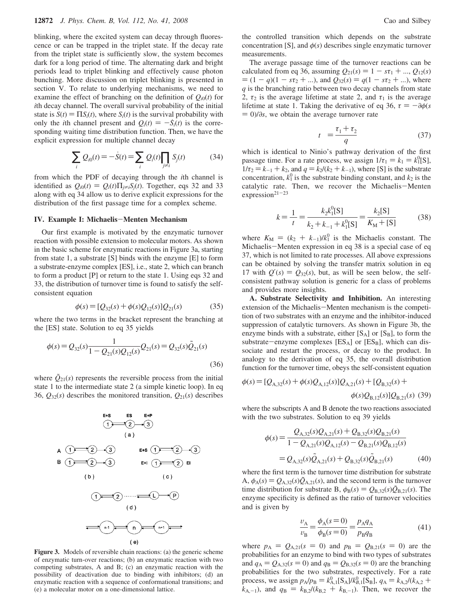blinking, where the excited system can decay through fluorescence or can be trapped in the triplet state. If the decay rate from the triplet state is sufficiently slow, the system becomes dark for a long period of time. The alternating dark and bright periods lead to triplet blinking and effectively cause photon bunching. More discussion on triplet blinking is presented in section V. To relate to underlying mechanisms, we need to examine the effect of branching on the definition of  $Q_{i0}(t)$  for *i*th decay channel. The overall survival probability of the initial state is  $S(t) = \prod S_i(t)$ , where  $S_i(t)$  is the survival probability with only the *i*th channel present and  $Q_i(t) = -\dot{S}_i(t)$  is the corresponding waiting time distribution function. Then, we have the explicit expression for multiple channel decay

$$
\sum_{i} Q_{i0}(t) = -\dot{S}(t) = \sum_{i} Q_i(t) \prod_{j \neq i} S_j(t)
$$
 (34)

from which the PDF of decaying through the *i*th channel is identified as  $Q_{i0}(t) = Q_i(t)\prod_{i\neq i}S_i(t)$ . Together, eqs 32 and 33 along with eq 34 allow us to derive explicit expressions for the distribution of the first passage time for a complex scheme.

### **IV. Example I: Michaelis**-**Menten Mechanism**

Our first example is motivated by the enzymatic turnover reaction with possible extension to molecular motors. As shown in the basic scheme for enzymatic reactions in Figure 3a, starting from state 1, a substrate [S] binds with the enzyme [E] to form a substrate-enzyme complex [ES], i.e., state 2, which can branch to form a product [P] or return to the state 1. Using eqs 32 and 33, the distribution of turnover time is found to satisfy the selfconsistent equation

$$
\phi(s) = [Q_{32}(s) + \phi(s)Q_{12}(s)]Q_{21}(s) \tag{35}
$$

where the two terms in the bracket represent the branching at the [ES] state. Solution to eq 35 yields

$$
\phi(s) = Q_{32}(s) \frac{1}{1 - Q_{21}(s)Q_{12}(s)} Q_{21}(s) = Q_{32}(s) \tilde{Q}_{21}(s)
$$
\n(36)

where  $\tilde{Q}_{21}(s)$  represents the reversible process from the initial state 1 to the intermediate state 2 (a simple kinetic loop). In eq 36,  $Q_{32}(s)$  describes the monitored transition,  $Q_{21}(s)$  describes

Figure 3. Models of reversible chain reactions: (a) the generic scheme of enzymatic turn-over reactions; (b) an enzymatic reaction with two competing substrates, A and B; (c) an enzymatic reaction with the possibility of deactivation due to binding with inhibitors; (d) an enzymatic reaction with a sequence of conformational transitions; and (e) a molecular motor on a one-dimensional lattice.

the controlled transition which depends on the substrate concentration [S], and  $\phi(s)$  describes single enzymatic turnover measurements.

The average passage time of the turnover reactions can be calculated from eq 36, assuming  $Q_{21}(s) = 1 - s\tau_1 + ...$ ,  $Q_{12}(s)$  $= (1 - q)(1 - s\tau_2 + ...)$ , and  $Q_{32}(s) = q(1 - s\tau_2 + ...)$ , where *q* is the branching ratio between two decay channels from state 2,  $\tau_2$  is the average lifetime at state 2, and  $\tau_1$  is the average lifetime at state 1. Taking the derivative of eq 36,  $\tau = -\partial \phi(s)$ ) 0)/*∂s*, we obtain the average turnover rate

$$
\langle t \rangle = \frac{\tau_1 + \tau_2}{q} \tag{37}
$$

which is identical to Ninio's pathway derivation of the first passage time. For a rate process, we assign  $1/\tau_1 = k_1 = k_1^0$ [S],  $1/\tau_2 = k_1 + k_2$  and  $a = k_2/(k_2 + k_1)$ , where [S] is the substrate  $1/\tau_2 = k_{-1} + k_2$ , and  $q = k_2/(k_2 + k_{-1})$ , where [S] is the substrate concentration,  $k_1^0$  is the substrate binding constant, and  $k_2$  is the catalytic rate. Then, we recover the Michaelis-Menten  $expression<sup>21-23</sup>$ 

$$
k = \frac{1}{\langle t \rangle} = \frac{k_2 k_1^0 [S]}{k_2 + k_{-1} + k_1^0 [S]} = \frac{k_2 [S]}{K_M + [S]}
$$
(38)

where  $K_M = (k_2 + k_{-1})/k_1^0$  is the Michaelis constant. The Michaelis-Menten expression in eq. 38 is a special case of eq. Michaelis-Menten expression in eq 38 is a special case of eq 37, which is not limited to rate processes. All above expressions can be obtained by solving the transfer matrix solution in eq 17 with  $Q'(s) = Q_{32}(s)$ , but, as will be seen below, the selfconsistent pathway solution is generic for a class of problems and provides more insights.

**A. Substrate Selectivity and Inhibition.** An interesting extension of the Michaelis-Menten mechanism is the competition of two substrates with an enzyme and the inhibitor-induced suppression of catalytic turnovers. As shown in Figure 3b, the enzyme binds with a substrate, either  $[S_A]$  or  $[S_B]$ , to form the substrate-enzyme complexes  $[ES_A]$  or  $[ES_B]$ , which can dissociate and restart the process, or decay to the product. In analogy to the derivation of eq 35, the overall distribution function for the turnover time, obeys the self-consistent equation

$$
\phi(s) = [Q_{A,32}(s) + \phi(s)Q_{A,12}(s)]Q_{A,21}(s) + [Q_{B,32}(s) + \phi(s)Q_{B,12}(s)]Q_{B,21}(s)
$$
 (39)

where the subscripts A and B denote the two reactions associated with the two substrates. Solution to eq 39 yields

$$
\phi(s) = \frac{Q_{A,32}(s)Q_{A,21}(s) + Q_{B,32}(s)Q_{B,21}(s)}{1 - Q_{A,21}(s)Q_{A,12}(s) - Q_{B,21}(s)Q_{B,12}(s)}
$$
  
=  $Q_{A,32}(s)\tilde{Q}_{A,21}(s) + Q_{B,32}(s)\tilde{Q}_{B,21}(s)$  (40)

where the first term is the turnover time distribution for substrate  $A, \phi_A(s) = Q_{A,32}(s)\tilde{Q}_{A,21}(s)$ , and the second term is the turnover time distribution for substrate B,  $\phi_B(s) = Q_{B,32}(s)\tilde{Q}_{B,21}(s)$ . The enzyme specificity is defined as the ratio of turnover velocities and is given by

$$
\frac{\nu_{A}}{\nu_{B}} = \frac{\phi_{A}(s=0)}{\phi_{B}(s=0)} = \frac{p_{A}q_{A}}{p_{B}q_{B}}
$$
(41)

where  $p_A = Q_{A,21}(s = 0)$  and  $p_B = Q_{B,21}(s = 0)$  are the probabilities for an enzyme to bind with two types of substrates and  $q_A = Q_{A,32}(s = 0)$  and  $q_B = Q_{B,32}(s = 0)$  are the branching probabilities for the two substrates, respectively. For a rate process, we assign  $p_A/p_B = k_{A,1}^0[S_A]/k_{B,1}^0[\overline{S}_B]$ ,  $q_A = k_{A,2}/(k_{A,2} + k_{B,1})$  and  $q_B = k_B/(k_{B,2} + k_{B,1})$ . Then we recover the  $k_{A,-1}$ , and  $q_B = k_{B,2}/(k_{B,2} + k_{B,-1})$ . Then, we recover the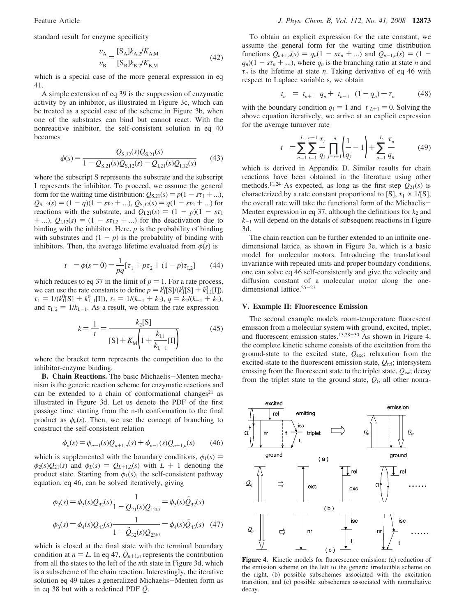standard result for enzyme specificity

$$
\frac{\nu_{A}}{\nu_{B}} = \frac{[S_{A}]k_{A,2}/K_{A,M}}{[S_{B}]k_{B,2}/K_{B,M}}
$$
(42)

which is a special case of the more general expression in eq 41.

A simple extension of eq 39 is the suppression of enzymatic activity by an inhibitor, as illustrated in Figure 3c, which can be treated as a special case of the scheme in Figure 3b, when one of the substrates can bind but cannot react. With the nonreactive inhibitor, the self-consistent solution in eq 40 becomes

$$
\phi(s) = \frac{Q_{\text{S},32}(s)Q_{\text{S},21}(s)}{1 - Q_{\text{S},21}(s)Q_{\text{S},12}(s) - Q_{\text{I},21}(s)Q_{\text{I},12}(s)}\tag{43}
$$

where the subscript S represents the substrate and the subscript I represents the inhibitor. To proceed, we assume the general form for the waiting time distribution:  $Q_{S,21}(s) = p(1 - s\tau_1 + ...)$ ,  $Q_{S,12}(s) = (1 - q)(1 - s\tau_2 + ...)$ ,  $Q_{S,32}(s) = q(1 - s\tau_2 + ...)$  for reactions with the substrate, and  $Q_{1,21}(s) = (1 - p)(1 - s\tau_1)$  $+ ...$ ,  $Q_{I,12}(s) = (1 - s\tau_{I,2} + ...)$  for the deactivation due to binding with the inhibitor. Here, *p* is the probability of binding with substrates and  $(1 - p)$  is the probability of binding with inhibitors. Then, the average lifetime evaluated from  $\phi(s)$  is

$$
\langle t \rangle = \phi(s=0) = \frac{1}{pq} [\tau_1 + p\tau_2 + (1-p)\tau_{1,2}] \tag{44}
$$

which reduces to eq 37 in the limit of  $p = 1$ . For a rate process, we can use the rate constants to define  $p = k_1^0[S]/(k_1^0[S] + k_{1,1}^0[I])$ ,<br>  $\tau_1 = 1/(k_1^0[S] + k_1^0$ ,  $I^{(1)}[S]$ ,  $\tau_2 = 1/(k_1 + k_2)$ ,  $q = k_2/(k_1 + k_2)$  $\tau_1 = 1/(k_1^0[S] + k_{1,1}^0[I])$ ,  $\tau_2 = 1/(k_{-1} + k_2)$ ,  $q = k_2/(k_{-1} + k_2)$ , and  $\tau_{k,2} = 1/k_{k-1}$ . As a result, we obtain the rate expression and  $\tau_{I, 2} = 1/k_{I, -1}$ . As a result, we obtain the rate expression

$$
k = \frac{1}{\langle t \rangle} = \frac{k_2[S]}{[S] + K_{M} \left(1 + \frac{k_{I,1}}{k_{I,-1}}[I]\right)}
$$
(45)

where the bracket term represents the competition due to the inhibitor-enzyme binding.

**B. Chain Reactions.** The basic Michaelis-Menten mechanism is the generic reaction scheme for enzymatic reactions and can be extended to a chain of conformational changes<sup>21</sup> as illustrated in Figure 3d. Let us denote the PDF of the first passage time starting from the n-th conformation to the final product as  $\phi_n(s)$ . Then, we use the concept of branching to construct the self-consistent relation

$$
\phi_n(s) = \phi_{n+1}(s)Q_{n+1,n}(s) + \phi_{n-1}(s)Q_{n-1,n}(s) \tag{46}
$$

which is supplemented with the boundary conditions,  $\phi_1(s)$  =  $\phi_2(s)Q_{21}(s)$  and  $\phi_L(s) = Q_{L+1,L}(s)$  with  $L+1$  denoting the product state. Starting from  $\phi_1(s)$ , the self-consistent pathway equation, eq 46, can be solved iteratively, giving

$$
\phi_2(s) = \phi_3(s)Q_{32}(s)\frac{1}{1 - Q_{21}(s)Q_{12(s)}} = \phi_3(s)\tilde{Q}_{32}(s)
$$

$$
\phi_3(s) = \phi_4(s)Q_{43}(s)\frac{1}{1 - \tilde{Q}_{32}(s)Q_{23(s)}} = \phi_4(s)\tilde{Q}_{43}(s) \quad (47)
$$

which is closed at the final state with the terminal boundary condition at  $n = L$ . In eq 47,  $\tilde{Q}_{n+1,n}$  represents the contribution from all the states to the left of the *n*th state in Figure 3d, which is a subscheme of the chain reaction. Interestingly, the iterative solution eq 49 takes a generalized Michaelis-Menten form as in eq 38 but with a redefined PDF  $\tilde{Q}$ .

To obtain an explicit expression for the rate constant, we assume the general form for the waiting time distribution functions  $Q_{n+1,n}(s) = q_n(1 - s\tau_n + ...)$  and  $Q_{n-1,n}(s) = (1 - s\tau_n + s\tau_n + ...)$  $q_n$ )(1 - *s* $\tau$ <sup>*n*</sup> + ...), where  $q_n$  is the branching ratio at state *n* and  $\tau_n$  is the lifetime at state *n*. Taking derivative of eq 46 with respect to Laplace variable s, we obtain

$$
\langle t_n \rangle = \langle t_{n+1} \rangle q_n + \langle t_{n-1} \rangle (1 - q_n) + \tau_n \tag{48}
$$

with the boundary condition  $q_1 = 1$  and  $\langle t \rangle_{L+1} = 0$ . Solving the above equation iteratively, we arrive at an explicit expression for the average turnover rate

$$
\langle t \rangle = \sum_{n=1}^{L} \sum_{i=1}^{n-1} \frac{\tau_i}{q_i} \prod_{j=i+1}^{n} \left( \frac{1}{q_j} - 1 \right) + \sum_{n=1}^{L} \frac{\tau_n}{q_n}
$$
(49)

which is derived in Appendix D. Similar results for chain reactions have been obtained in the literature using other methods.<sup>11,24</sup> As expected, as long as the first step  $Q_{21}(s)$  is characterized by a rate constant proportional to [S],  $\tau_1 \propto 1/[S]$ , the overall rate will take the functional form of the Michaelis-Menten expression in eq 37, although the definitions for  $k_2$  and  $k_{-1}$  will depend on the details of subsequent reactions in Figure 3d.

The chain reaction can be further extended to an infinite onedimensional lattice, as shown in Figure 3e, which is a basic model for molecular motors. Introducing the translational invariance with repeated units and proper boundary conditions, one can solve eq 46 self-consistently and give the velocity and diffusion constant of a molecular motor along the onedimensional lattice.25-<sup>27</sup>

#### **V. Example II: Fluorescence Emission**

The second example models room-temperature fluorescent emission from a molecular system with ground, excited, triplet, and fluorescent emission states.<sup>13,28-30</sup> As shown in Figure 4, the complete kinetic scheme consists of the excitation from the ground-state to the excited state, *Q*exc; relaxation from the excited-state to the fluorescent emission state, *Q*rel; intersystem crossing from the fluorescent state to the triplet state,  $Q_{\text{isc}}$ ; decay from the triplet state to the ground state,  $Q_t$ ; all other nonra-



**Figure 4.** Kinetic models for fluorescence emission: (a) reduction of the emission scheme on the left to the generic irreducible scheme on the right, (b) possible subschemes associated with the excitation transition, and (c) possible subschemes associated with nonradiative decay.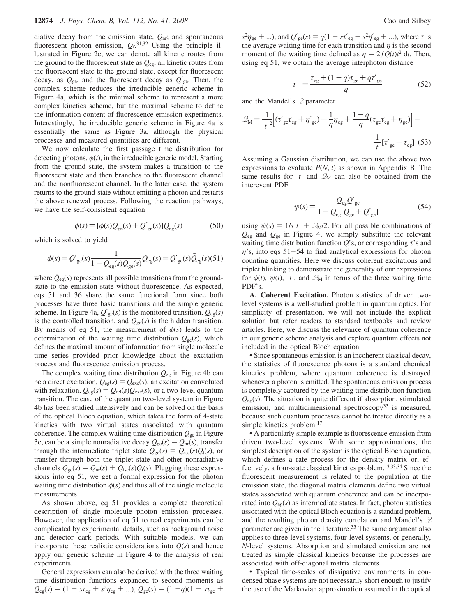diative decay from the emission state,  $Q_{\text{nr}}$ ; and spontaneous fluorescent photon emission,  $Q_f$ .<sup>31,32</sup> Using the principle illustrated in Figure 2c, we can denote all kinetic routes from the ground to the fluorescent state as *Q*eg, all kinetic routes from the fluorescent state to the ground state, except for fluorescent decay, as  $Q_{ge}$ , and the fluorescent decay as  $Q'_{ge}$ . Then, the complex scheme reduces the irreducible generic scheme in Figure 4a, which is the minimal scheme to represent a more complex kinetics scheme, but the maximal scheme to define the information content of fluorescence emission experiments. Interestingly, the irreducible generic scheme in Figure 4a is essentially the same as Figure 3a, although the physical processes and measured quantities are different.

We now calculate the first passage time distribution for detecting photons,  $\phi(t)$ , in the irreducible generic model. Starting from the ground state, the system makes a transition to the fluorescent state and then branches to the fluorescent channel and the nonfluorescent channel. In the latter case, the system returns to the ground-state without emitting a photon and restarts the above renewal process. Following the reaction pathways, we have the self-consistent equation

$$
\phi(s) = [\phi(s)Q_{\text{ge}}(s) + Q'_{\text{ge}}(s)]Q_{\text{eg}}(s)
$$
\n(50)

which is solved to yield

$$
\phi(s) = Q'_{\text{ge}}(s) \frac{1}{1 - Q_{\text{eg}}(s)Q_{\text{ge}}(s)} Q_{\text{eg}}(s) = Q'_{\text{ge}}(s)\tilde{Q}_{\text{eg}}(s)(51)
$$

where  $\tilde{Q}_{eg}(s)$  represents all possible transitions from the groundstate to the emission state without fluorescence. As expected, eqs 51 and 36 share the same functional form since both processes have three basic transitions and the simple generic scheme. In Figure 4a,  $Q'_{ge}(s)$  is the monitored transition,  $Q_{eg}(s)$ is the controlled transition, and  $Q_{ge}(s)$  is the hidden transition. By means of eq 51, the measurement of  $\phi(s)$  leads to the determination of the waiting time distribution  $Q_{ge}(s)$ , which defines the maximal amount of information from single molecule time series provided prior knowledge about the excitation process and fluorescence emission process.

The complex waiting time distribution  $Q_{eg}$  in Figure 4b can be a direct excitation,  $Q_{eg}(s) = Q_{exc}(s)$ , an excitation convoluted with relaxation,  $Q_{eg}(s) = Q_{rel}(s)Q_{exc}(s)$ , or a two-level quantum transition. The case of the quantum two-level system in Figure 4b has been studied intensively and can be solved on the basis of the optical Bloch equation, which takes the form of 4-state kinetics with two virtual states associated with quantum coherence. The complex waiting time distribution  $Q_{\text{ge}}$  in Figure 3c, can be a simple nonradiative decay  $Q_{ge}(s) = Q_{nr}(s)$ , transfer through the intermediate triplet state  $Q_{ge}(s) = Q_{\text{isc}}(s)Q_{t}(s)$ , or transfer through both the triplet state and other nonradiative channels  $Q_{ge}(s) = Q_{nr}(s) + Q_{isc}(s)Q_{t}(s)$ . Plugging these expressions into eq 51, we get a formal expression for the photon waiting time distribution  $\phi(s)$  and thus all of the single molecule measurements.

As shown above, eq 51 provides a complete theoretical description of single molecule photon emission processes. However, the application of eq 51 to real experiments can be complicated by experimental details, such as background noise and detector dark periods. With suitable models, we can incorporate these realistic considerations into  $O(s)$  and hence apply our generic scheme in Figure 4 to the analysis of real experiments.

General expressions can also be derived with the three waiting time distribution functions expanded to second moments as  $Q_{eg}(s) = (1 - s\tau_{eg} + s^2\eta_{eg} + ...)$ ,  $Q_{ge}(s) = (1 - q)(1 - s\tau_{ge} +$ 

 $s^{2}\eta_{ge} + ...$ , and  $Q'_{ge}(s) = q(1 - s\tau'_{eg} + s^{2}\eta'_{eg} + ...)$ , where  $\tau$  is the average waiting time for each transition and  $\eta$  is the second moment of the waiting time defined as  $\eta = 2 f Q(t) t^2 dt$ . Then, using eq. 51, we obtain the average interphoton distance using eq 51, we obtain the average interphoton distance

$$
\langle t \rangle = \frac{\tau_{eg} + (1 - q)\tau_{ge} + q\tau'_{ge}}{q}
$$
 (52)

and the Mandel's *Q* parameter

$$
\mathcal{Q}_{\rm M} = \frac{1}{\langle t \rangle^2} \Big[ (\tau'_{\rm gc} \tau_{\rm eg} + \eta'_{\rm gc}) + \frac{1}{q} \eta_{\rm eg} + \frac{1 - q}{q} (\tau_{\rm gc} \tau_{\rm eg} + \eta_{\rm gc}) \Big] -
$$

$$
\frac{1}{\langle t \rangle} [\tau'_{\rm gc} + \tau_{\rm eg}] \tag{53}
$$

Assuming a Gaussian distribution, we can use the above two expressions to evaluate  $P(N, t)$  as shown in Appendix B. The same results for  $\langle t \rangle$  and  $\mathcal{Q}_M$  can also be obtained from the interevent PDF

$$
\psi(s) = \frac{Q_{eg}Q'_{ge}}{1 - Q_{eg}[Q_{ge} + Q'_{ge}]}
$$
\n(54)

using  $\psi(s) = 1/s \langle t \rangle + \mathcal{Q}_M/2$ . For all possible combinations of *Q*eg and *Q*ge in Figure 4, we simply substitute the relevant waiting time distribution function *Q*'s, or corresponding *τ*'s and *<sup>η</sup>*'s, into eqs 51-54 to find analytical expressions for photon counting quantities. Here we discuss coherent excitations and triplet blinking to demonstrate the generality of our expressions for  $\phi(t)$ ,  $\psi(t)$ ,  $\langle t \rangle$ , and  $\mathcal{Q}_M$  in terms of the three waiting time PDF's.

**A. Coherent Excitation.** Photon statistics of driven twolevel systems is a well-studied problem in quantum optics. For simplicity of presentation, we will not include the explicit solution but refer readers to standard textbooks and review articles. Here, we discuss the relevance of quantum coherence in our generic scheme analysis and explore quantum effects not included in the optical Bloch equation.

• Since spontaneous emission is an incoherent classical decay, the statistics of fluorescence photons is a standard chemical kinetics problem, where quantum coherence is destroyed whenever a photon is emitted. The spontaneous emission process is completely captured by the waiting time distribution function  $Q_{eg}(s)$ . The situation is quite different if absorption, stimulated emission, and multidimensional spectroscopy<sup>33</sup> is measured, because such quantum processes cannot be treated directly as a simple kinetics problem.<sup>17</sup>

• A particularly simple example is fluorescence emission from driven two-level systems. With some approximations, the simplest description of the system is the optical Bloch equation, which defines a rate process for the density matrix or, effectively, a four-state classical kinetics problem.13,33,34 Since the fluorescent measurement is related to the population at the emission state, the diagonal matrix elements define two virtual states associated with quantum coherence and can be incorporated into  $Q_{eg}(s)$  as intermediate states. In fact, photon statistics associated with the optical Bloch equation is a standard problem, and the resulting photon density correlation and Mandel's *Q* parameter are given in the literature.<sup>35</sup> The same argument also applies to three-level systems, four-level systems, or generally, *N*-level systems. Absorption and simulated emission are not treated as simple classical kinetics because the processes are associated with off-diagonal matrix elements.

• Typical time-scales of dissipative environments in condensed phase systems are not necessarily short enough to justify the use of the Markovian approximation assumed in the optical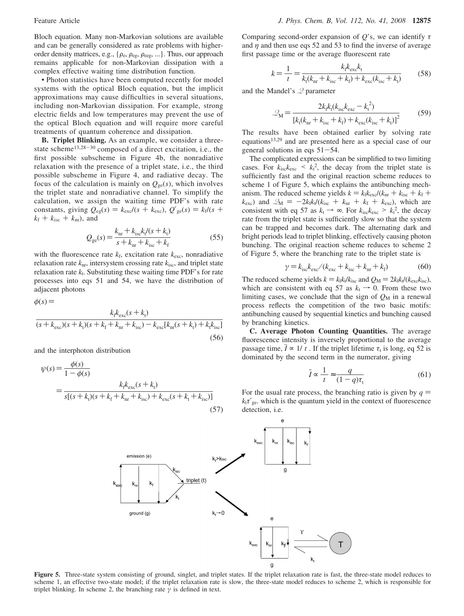Bloch equation. Many non-Markovian solutions are available and can be generally considered as rate problems with higherorder density matrices, e.g.,  $\{\rho_e, \rho_{eg}, \rho_{eeg}, ...\}$ . Thus, our approach remains applicable for non-Markovian dissipation with a complex effective waiting time distribution function.

• Photon statistics have been computed recently for model systems with the optical Bloch equation, but the implicit approximations may cause difficulties in several situations, including non-Markovian dissipation. For example, strong electric fields and low temperatures may prevent the use of the optical Bloch equation and will require more careful treatments of quantum coherence and dissipation.

**B. Triplet Blinking.** As an example, we consider a threestate scheme<sup>13,28-30</sup> composed of a direct excitation, i.e., the first possible subscheme in Figure 4b, the nonradiative relaxation with the presence of a triplet state, i.e., the third possible subscheme in Figure 4, and radiative decay. The focus of the calculation is mainly on  $Q_{\text{ge}}(s)$ , which involves the triplet state and nonradiative channel. To simplify the calculation, we assign the waiting time PDF's with rate constants, giving  $Q_{eg}(s) = k_{exc}/(s + k_{exc})$ ,  $Q'_{ge}(s) = k_f/(s + k_f)$  $k_f + k_{\text{isc}} + k_{\text{nr}}$ , and

$$
Q_{\rm ge}(s) = \frac{k_{\rm nr} + k_{\rm isc}k_{\rm t}/(s + k_{\rm t})}{s + k_{\rm nr} + k_{\rm isc} + k_{\rm f}}\tag{55}
$$

with the fluorescence rate  $k_f$ , excitation rate  $k_{\text{exc}}$ , nonradiative relaxation rate  $k_{\text{nr}}$ , intersystem crossing rate  $k_{\text{isc}}$ , and triplet state relaxation rate  $k_t$ . Substituting these waiting time PDF's for rate processes into eqs 51 and 54, we have the distribution of adjacent photons

 $\phi(s)$  =

$$
\frac{k_{\rm f}k_{\rm exc}(s+k_{\rm t})}{(s+k_{\rm exc})(s+k_{\rm t})(s+k_{\rm f}+k_{\rm nr}+k_{\rm isc})-k_{\rm exc}[k_{\rm nr}(s+k_{\rm t})+k_{\rm t}k_{\rm isc}]} \tag{56}
$$

and the interphoton distribution

$$
\psi(s) = \frac{\phi(s)}{1 - \phi(s)}
$$
  
= 
$$
\frac{k_t k_{\text{exc}}(s + k_t)}{s[(s + k_t)(s + k_f + k_{\text{nr}} + k_{\text{isc}}) + k_{\text{exc}}(s + k_t + k_{\text{isc}})]}
$$
(57)

Comparing second-order expansion of *Q*'s, we can identify *τ* and *η* and then use eqs 52 and 53 to find the inverse of average first passage time or the average fluorescent rate

$$
k = \frac{1}{\langle t \rangle} = \frac{k_{\rm f} k_{\rm exc} k_{\rm t}}{k_{\rm t} (k_{\rm nr} + k_{\rm isc} + k_{\rm f}) + k_{\rm exc} (k_{\rm isc} + k_{\rm t})}
$$
(58)

and the Mandel's *Q* parameter

$$
P_{\rm M} = \frac{2k_{\rm f}k_{\rm t}(k_{\rm isc}k_{\rm exc} - k_{\rm t}^{2})}{\left[k_{\rm t}(k_{\rm nr} + k_{\rm isc} + k_{\rm f}) + k_{\rm exc}(k_{\rm isc} + k_{\rm t})\right]^{2}}
$$
(59)

The results have been obtained earlier by solving rate equations13,29 and are presented here as a special case of our general solutions in eqs  $51-54$ .

The complicated expressions can be simplified to two limiting cases. For  $k_{\text{isc}}k_{\text{exc}} \leq k_{\text{t}}^2$ , the decay from the triplet state is<br>sufficiently fast and the original reaction scheme reduces to sufficiently fast and the original reaction scheme reduces to scheme 1 of Figure 5, which explains the antibunching mechanism. The reduced scheme yields  $k = k_f k_{\text{exc}}/(k_{\text{nr}} + k_{\text{isc}} + k_f + k_{\text{c}})$  $k_{\text{exc}}$ ) and  $\mathcal{Q}_{\text{M}} = -2k_f k_l/(k_{\text{isc}} + k_{\text{nr}} + k_f + k_{\text{exc}})$ , which are consistent with eq 57 as  $k_t \rightarrow \infty$ . For  $k_{\text{isc}} k_{\text{exc}} > k_t^2$ , the decay rate from the triplet state is sufficiently slow so that the system can be trapped and becomes dark. The alternating dark and bright periods lead to triplet blinking, effectively causing photon bunching. The original reaction scheme reduces to scheme 2 of Figure 5, where the branching rate to the triplet state is

$$
\gamma = k_{\rm isc} k_{\rm exc} / (k_{\rm exc} + k_{\rm isc} + k_{\rm nr} + k_{\rm f}) \tag{60}
$$

The reduced scheme yields  $k = k_f k_f / k_{\text{isc}}$  and  $Q_M = 2k_f k_f / (k_{\text{exc}} k_{\text{isc}})$ , which are consistent with eq. 57 as  $k \rightarrow 0$ . From these two which are consistent with eq 57 as  $k_t \rightarrow 0$ . From these two limiting cases, we conclude that the sign of  $Q_M$  in a renewal process reflects the competition of the two basic motifs: antibunching caused by sequential kinetics and bunching caused by branching kinetics.

**C. Average Photon Counting Quantities.** The average fluorescence intensity is inversely proportional to the average passage time,  $\bar{I} \propto 1/\langle t \rangle$ . If the triplet lifetime  $\tau_t$  is long, eq 52 is dominated by the second term in the numerator, giving

$$
\bar{I} \propto \frac{1}{\langle t \rangle} \approx \frac{q}{(1-q)\tau_{\rm t}} \tag{61}
$$

For the usual rate process, the branching ratio is given by  $q =$  $k_t \tau'_{\text{ge}}$  which is the quantum yield in the context of fluorescence detection, i.e.



Figure 5. Three-state system consisting of ground, singlet, and triplet states. If the triplet relaxation rate is fast, the three-state model reduces to scheme 1, an effective two-state model; if the triplet relaxation rate is slow, the three-state model reduces to scheme 2, which is responsible for triplet blinking. In scheme 2, the branching rate *γ* is defined in text.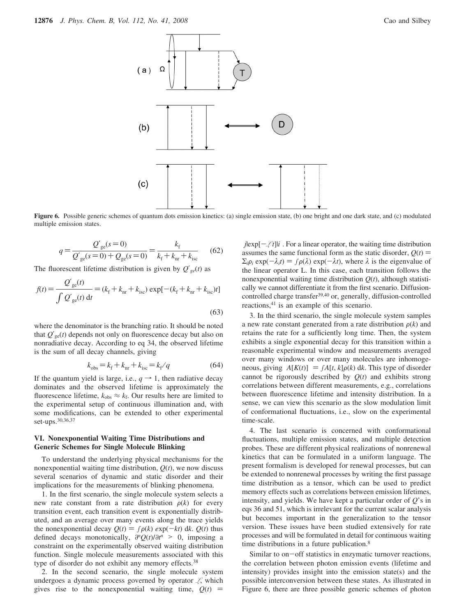

Figure 6. Possible generic schemes of quantum dots emission kinetics: (a) single emission state, (b) one bright and one dark state, and (c) modulated multiple emission states.

$$
q = \frac{Q'_{ge}(s=0)}{Q'_{ge}(s=0) + Q_{ge}(s=0)} = \frac{k_{\rm f}}{k_{\rm f} + k_{\rm nr} + k_{\rm isc}}
$$
(62)

The fluorescent lifetime distribution is given by  $Q'_{ge}(t)$  as

$$
f(t) = \frac{Q'_{\text{ge}}(t)}{\int Q'_{\text{ge}}(t) dt} = (k_{\text{f}} + k_{\text{nr}} + k_{\text{isc}}) \exp[-(k_{\text{f}} + k_{\text{nr}} + k_{\text{isc}})t]
$$
\n(63)

where the denominator is the branching ratio. It should be noted that  $Q'_{ge}(t)$  depends not only on fluorescence decay but also on nonradiative decay. According to eq 34, the observed lifetime is the sum of all decay channels, giving

$$
k_{\text{obs}} = k_{\text{f}} + k_{\text{nr}} + k_{\text{isc}} = k_{\text{f}} / q \tag{64}
$$

If the quantum yield is large, i.e.,  $q \rightarrow 1$ , then radiative decay dominates and the observed lifetime is approximately the fluorescence lifetime,  $k_{obs} \approx k_f$ . Our results here are limited to the experimental setup of continuous illumination and, with some modifications, can be extended to other experimental set-ups.30,36,37

## **VI. Nonexponential Waiting Time Distributions and Generic Schemes for Single Molecule Blinking**

To understand the underlying physical mechanisms for the nonexponential waiting time distribution,  $Q(t)$ , we now discuss several scenarios of dynamic and static disorder and their implications for the measurements of blinking phenomena.

1. In the first scenario, the single molecule system selects a new rate constant from a rate distribution  $\rho(k)$  for every transition event, each transition event is exponentially distributed, and an average over many events along the trace yields the nonexponential decay  $Q(t) = f \rho(k) \exp(-kt)$  dk.  $Q(t)$  thus defined decays monotonically,  $\frac{\partial^n Q(t)}{\partial t^n} > 0$ , imposing a constraint on the experimentally observed waiting distribution constraint on the experimentally observed waiting distribution function. Single molecule measurements associated with this type of disorder do not exhibit any memory effects.<sup>38</sup>

2. In the second scenario, the single molecule system undergoes a dynamic process governed by operator *L*, which gives rise to the nonexponential waiting time,  $Q(t)$  =

 $\langle$ *j*|exp[ $-\sqrt{t}$ ]|*i* $\rangle$ . For a linear operator, the waiting time distribution assumes the same functional form as the static disorder,  $Q(t)$  =  $\Sigma_i \rho_i \exp(-\lambda_i t) = \int \rho(\lambda) \exp(-\lambda t)$ , where  $\lambda$  is the eigenvalue of the linear operator L. In this case, each transition follows the nonexponential waiting time distribution  $Q(t)$ , although statistically we cannot differentiate it from the first scenario. Diffusioncontrolled charge transfer<sup>39,40</sup> or, generally, diffusion-controlled reactions,<sup>41</sup> is an example of this scenario.

3. In the third scenario, the single molecule system samples a new rate constant generated from a rate distribution  $\rho(k)$  and retains the rate for a sufficiently long time. Then, the system exhibits a single exponential decay for this transition within a reasonable experimental window and measurements averaged over many windows or over many molecules are inhomogeneous, giving  $\langle A[K(t)] \rangle = \int A[t, k] \rho(k) \, dk$ . This type of disorder cannot be rigorously described by  $Q(t)$  and exhibits strong correlations between different measurements, e.g., correlations between fluorescence lifetime and intensity distribution. In a sense, we can view this scenario as the slow modulation limit of conformational fluctuations, i.e., slow on the experimental time-scale.

4. The last scenario is concerned with conformational fluctuations, multiple emission states, and multiple detection probes. These are different physical realizations of nonrenewal kinetics that can be formulated in a uniform language. The present formalism is developed for renewal processes, but can be extended to nonrenewal processes by writing the first passage time distribution as a tensor, which can be used to predict memory effects such as correlations between emission lifetimes, intensity, and yields. We have kept a particular order of *Q*'s in eqs 36 and 51, which is irrelevant for the current scalar analysis but becomes important in the generalization to the tensor version. These issues have been studied extensively for rate processes and will be formulated in detail for continuous waiting time distributions in a future publication.<sup>8</sup>

Similar to on-off statistics in enzymatic turnover reactions, the correlation between photon emission events (lifetime and intensity) provides insight into the emission state(s) and the possible interconversion between these states. As illustrated in Figure 6, there are three possible generic schemes of photon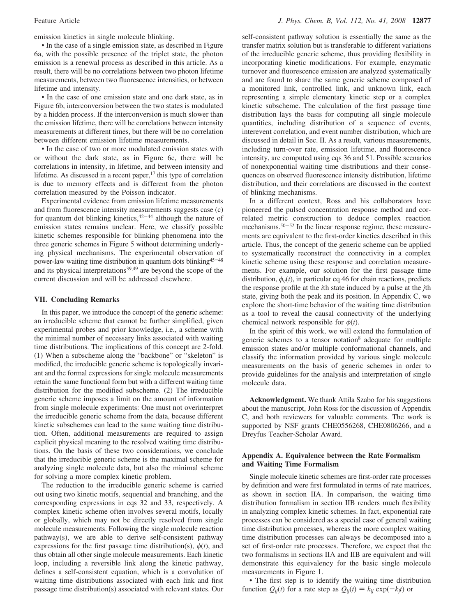emission kinetics in single molecule blinking.

• In the case of a single emission state, as described in Figure 6a, with the possible presence of the triplet state, the photon emission is a renewal process as described in this article. As a result, there will be no correlations between two photon lifetime measurements, between two fluorescence intensities, or between lifetime and intensity.

• In the case of one emission state and one dark state, as in Figure 6b, interconversion between the two states is modulated by a hidden process. If the interconversion is much slower than the emission lifetime, there will be correlations between intensity measurements at different times, but there will be no correlation between different emission lifetime measurements.

• In the case of two or more modulated emission states with or without the dark state, as in Figure 6c, there will be correlations in intensity, in lifetime, and between intensity and lifetime. As discussed in a recent paper, $17$  this type of correlation is due to memory effects and is different from the photon correlation measured by the Poisson indicator.

Experimental evidence from emission lifetime measurements and from fluorescence intensity measurements suggests case (c) for quantum dot blinking kinetics,  $42-44$  although the nature of emission states remains unclear. Here, we classify possible kinetic schemes responsible for blinking phenomena into the three generic schemes in Figure 5 without determining underlying physical mechanisms. The experimental observation of power-law waiting time distribution in quantum dots blinking45-<sup>48</sup> and its physical interpretations $39,49$  are beyond the scope of the current discussion and will be addressed elsewhere.

## **VII. Concluding Remarks**

In this paper, we introduce the concept of the generic scheme: an irreducible scheme that cannot be further simplified, given experimental probes and prior knowledge, i.e., a scheme with the minimal number of necessary links associated with waiting time distributions. The implications of this concept are 2-fold. (1) When a subscheme along the "backbone" or "skeleton" is modified, the irreducible generic scheme is topologically invariant and the formal expressions for single molecule measurements retain the same functional form but with a different waiting time distribution for the modified subscheme. (2) The irreducible generic scheme imposes a limit on the amount of information from single molecule experiments: One must not overinterpret the irreducible generic scheme from the data, because different kinetic subschemes can lead to the same waiting time distribution. Often, additional measurements are required to assign explicit physical meaning to the resolved waiting time distributions. On the basis of these two considerations, we conclude that the irreducible generic scheme is the maximal scheme for analyzing single molecule data, but also the minimal scheme for solving a more complex kinetic problem.

The reduction to the irreducible generic scheme is carried out using two kinetic motifs, sequential and branching, and the corresponding expressions in eqs 32 and 33, respectively. A complex kinetic scheme often involves several motifs, locally or globally, which may not be directly resolved from single molecule measurements. Following the single molecule reaction pathway(s), we are able to derive self-consistent pathway expressions for the first passage time distribution(s),  $\phi(t)$ , and thus obtain all other single molecule measurements. Each kinetic loop, including a reversible link along the kinetic pathway, defines a self-consistent equation, which is a convolution of waiting time distributions associated with each link and first passage time distribution(s) associated with relevant states. Our

self-consistent pathway solution is essentially the same as the transfer matrix solution but is transferable to different variations of the irreducible generic scheme, thus providing flexibility in incorporating kinetic modifications. For example, enzymatic turnover and fluorescence emission are analyzed systematically and are found to share the same generic scheme composed of a monitored link, controlled link, and unknown link, each representing a simple elementary kinetic step or a complex kinetic subscheme. The calculation of the first passage time distribution lays the basis for computing all single molecule quantities, including distribution of a sequence of events, interevent correlation, and event number distribution, which are discussed in detail in Sec. II. As a result, various measurements, including turn-over rate, emission lifetime, and fluorescence intensity, are computed using eqs 36 and 51. Possible scenarios of nonexponential waiting time distributions and their consequences on observed fluorescence intensity distribution, lifetime distribution, and their correlations are discussed in the context of blinking mechanisms.

In a different context, Ross and his collaborators have pioneered the pulsed concentration response method and correlated metric construction to deduce complex reaction mechanisms.<sup>50-52</sup> In the linear response regime, these measurements are equivalent to the first-order kinetics described in this article. Thus, the concept of the generic scheme can be applied to systematically reconstruct the connectivity in a complex kinetic scheme using these response and correlation measurements. For example, our solution for the first passage time distribution,  $\phi_{ii}(t)$ , in particular eq 46 for chain reactions, predicts the response profile at the *i*th state induced by a pulse at the *j*th state, giving both the peak and its position. In Appendix C, we explore the short-time behavior of the waiting time distribution as a tool to reveal the causal connectivity of the underlying chemical network responsible for  $\phi(t)$ .

In the spirit of this work, we will extend the formulation of generic schemes to a tensor notation8 adequate for multiple emission states and/or multiple conformational channels, and classify the information provided by various single molecule measurements on the basis of generic schemes in order to provide guidelines for the analysis and interpretation of single molecule data.

**Acknowledgment.** We thank Attila Szabo for his suggestions about the manuscript, John Ross for the discussion of Appendix C, and both reviewers for valuable comments. The work is supported by NSF grants CHE0556268, CHE0806266, and a Dreyfus Teacher-Scholar Award.

# **Appendix A. Equivalence between the Rate Formalism and Waiting Time Formalism**

Single molecule kinetic schemes are first-order rate processes by definition and were first formulated in terms of rate matrices, as shown in section IIA. In comparison, the waiting time distribution formalism in section IIB renders much flexibility in analyzing complex kinetic schemes. In fact, exponential rate processes can be considered as a special case of general waiting time distribution processes, whereas the more complex waiting time distribution processes can always be decomposed into a set of first-order rate processes. Therefore, we expect that the two formalisms in sections IIA and IIB are equivalent and will demonstrate this equivalency for the basic single molecule measurements in Figure 1.

• The first step is to identify the waiting time distribution function  $Q_{ii}(t)$  for a rate step as  $Q_{ii}(t) = k_{ii} \exp(-k_i t)$  or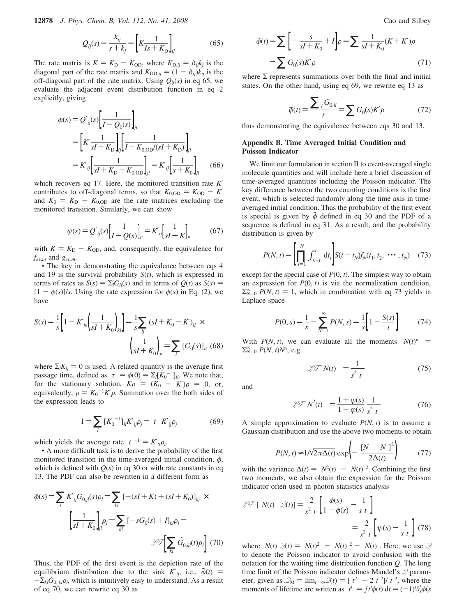**12878** *J. Phys. Chem. B, Vol. 112, No. 41, 2008* Cao and Silbey

$$
Q_{ij}(s) = \frac{k_{ij}}{s + k_j} = \left[K \frac{1}{Is + K_D}\right]_{ij}
$$
 (65)

The rate matrix is  $K = K_D - K_{OD}$ , where  $K_{D,ij} = \delta_{ijk}$  is the diagonal part of the rate matrix and  $K_{OD,ij} = (1 - \delta_{ij})k_{ij}$  is the off-diagonal part of the rate matrix. Using  $Q_{ij}(s)$  in eq 65, we evaluate the adjacent event distribution function in eq 2 explicitly, giving

$$
\phi(s) = Q'_{ij}(s) \left[ \frac{1}{I - Q_0(s)} \right]_{ji}
$$
  
=  $\left[ K' \frac{1}{sI + K_D} \right]_{ij} \left[ \frac{1}{I - K_{0,OD}/(sI + K_D)} \right]_{ji}$   
=  $K'_{ij} \left[ \frac{1}{sI + K_D - K_{0,OD}} \right]_{ji} = K'_{ij} \left[ \frac{1}{s + K_0} \right]_{ji}$  (66)

which recovers eq 17. Here, the monitored transition rate *K*′ contributes to off-diagonal terms, so that  $K_{0,OD} = K_{OD} - K'$ and  $K_0 = K_D - K_{0,OD}$  are the rate matrices excluding the monitored transition. Similarly, we can show

$$
\psi(s) = Q'_{ij}(s) \Big[ \frac{1}{I - Q(s)} \Big]_{ji} = K'_{ij} \Big[ \frac{1}{sI + K} \Big]_{ji} \tag{67}
$$

with  $K = K<sub>D</sub> - K<sub>OD</sub>$ , and, consequently, the equivalence for  $f_{ev,m}$  and  $g_{ev,m}$ .

• The key in demonstrating the equivalence between eqs 4 and 19 is the survival probability *S*(*t*), which is expressed in terms of rates as  $S(s) = \sum_l G_{li}(s)$  and in terms of  $Q(t)$  as  $S(s) =$  $[1 - \phi(s)]/s$ . Using the rate expression for  $\phi(s)$  in Eq. (2), we have

$$
S(s) = \frac{1}{s} \left[ 1 - K'_{ik} \left( \frac{1}{sI + K_0} \right)_{ki} \right] = \frac{1}{s} \sum_{ij} (sI + K_0 - K')_{ij} \times \left( \frac{1}{sI + K_0} \right)_{ji} = \sum_{l} [G_0(s)]_{li} \tag{68}
$$

where  $\Sigma_l K_{lj} = 0$  is used. A related quantity is the average first passage time, defined as  $\langle \tau \rangle = \phi(0) = \sum_l [K_0^{-1}]_{li}$ . We note that, for the stationary solution  $K_0 = (K_0 - K')_{0} = 0$  or for the stationary solution,  $K\rho = (K_0 - K')\rho = 0$ , or, equivalently,  $\rho = K_0^{-1} K' \rho$ . Summation over the both sides of the expression leads to the expression leads to

$$
1 = \sum_{l} \left[ K_0^{-1} \right]_{li} K'_{ij} \rho_j = \langle t \rangle K'_{ij} \rho_j \tag{69}
$$

which yields the average rate  $\langle t \rangle^{-1} = K'_{ij} \rho_j$ .

• A more difficult task is to derive the probability of the first monitored transition in the time-averaged initial condition,  $\phi$ , which is defined with  $Q(s)$  in eq 30 or with rate constants in eq 13. The PDF can also be rewritten in a different form as

$$
\tilde{\phi}(s) = \sum_{l} K'_{ij} G_{0,jl}(s) \rho_{l} = \sum_{kl} \left[ -(sI + K) + (sI + K_{0}) \right]_{kj} \times
$$

$$
\left[ \frac{1}{sI + K_{0}} \right]_{jl} \rho_{l} = \sum_{kl} \left[ -sG_{0}(s) + I \right]_{kl} \rho_{l} =
$$

$$
\mathcal{L} \sum_{kl} \tilde{G}_{0,kl}(t) \rho_{l} \right] (70)
$$

Thus, the PDF of the first event is the depletion rate of the equilibrium distribution due to the sink  $K'_{ij}$ , i.e.,  $\phi(t)$  =  $-\Sigma_{kl}G_{0,kl}\rho_l$ , which is intuitively easy to understand. As a result of eq 70, we can rewrite eq 30 as

$$
\begin{aligned} \n\overline{\phi}(t) &= \sum \left[ -\frac{s}{sI + K_0} + I \right] \rho = \sum \frac{1}{sI + K_0} (K + K') \rho \\ \n&= \sum G_0(s) K' \rho \tag{71} \end{aligned}
$$

where  $\Sigma$  represents summations over both the final and initial states. On the other hand, using eq 69, we rewrite eq 13 as

$$
\bar{\phi}(t) = \frac{\sum_{i} G_{0,li}}{\langle t \rangle} = \sum G_0(s) K' \rho \tag{72}
$$

thus demonstrating the equivalence between eqs 30 and 13.

# **Appendix B. Time Averaged Initial Condition and Poisson Indicator**

We limit our formulation in section II to event-averaged single molecule quantities and will include here a brief discussion of time-averaged quantities including the Poisson indicator. The key difference between the two counting conditions is the first event, which is selected randomly along the time axis in timeaveraged initial condition. Thus the probability of the first event is special is given by  $\phi$  defined in eq 30 and the PDF of a sequence is defined in eq 31. As a result, and the probability distribution is given by

$$
P(N,t) = \left[\prod_{i=1}^{N} \int_{t_{i-1}}^{t} dt_i\right] S(t - t_N) f_N(t_1, t_2, \cdots, t_N) \quad (73)
$$

except for the special case of  $P(0, t)$ . The simplest way to obtain an expression for  $P(0, t)$  is via the normalization condition,  $\sum_{N=0}^{\infty} P(N, t) = 1$ , which in combination with eq 73 yields in Laplace space

$$
P(0, s) = \frac{1}{s} - \sum_{N=1}^{\infty} P(N, s) = \frac{1}{s} \left[ 1 - \frac{S(s)}{\langle t \rangle} \right]
$$
(74)

With  $P(N, t)$ , we can evaluate all the moments  $\langle N(t)^n \rangle$  =  $\sum_{N=0}^{\infty} P(N, t)N^{n}$ , e.g.

$$
f_{\rm{max}}
$$

and

$$
\mathcal{J}\mathcal{T}\langle N^2(t)\rangle = \frac{1+\varphi(s)}{1-\varphi(s)}\frac{1}{s^2\langle t\rangle} \tag{76}
$$

 $\mathscr{L}\mathscr{T}\langle N(t)\rangle = \frac{1}{s^2\langle t\rangle}$  (75)

A simple approximation to evaluate  $P(N, t)$  is to assume a Gaussian distribution and use the above two moments to obtain

$$
P(N,t) \approx 1/\sqrt{2\pi\Delta(t)} \exp\left(-\frac{[N-\langle N\rangle]^2}{2\Delta(t)}\right) \tag{77}
$$

with the variance  $\Delta(t) = \langle N^2(t) \rangle - \langle N(t) \rangle^2$ . Combining the first two moments, we also obtain the expression for the Poisson indicator often used in photon statistics analysis

$$
\mathcal{L}\mathcal{T}\left[\langle N(t)\,\rangle\,\mathcal{Q}(t)\right] = \frac{2}{s^2\langle t\rangle} \left[\frac{\phi(s)}{1-\phi(s)} - \frac{1}{s\langle t\rangle}\right] = \frac{2}{s^2\langle t\rangle} \left[\psi(s) - \frac{1}{s\langle t\rangle}\right] (78)
$$

where  $\langle N(t) \rangle \mathcal{Q}(t) = \langle N(t)^2 \rangle - \langle N(t) \rangle^2 - \langle N(t) \rangle$ . Here, we use  $\mathcal{Q}$ to denote the Poisson indicator to avoid confusion with the notation for the waiting time distribution function *Q*. The long time limit of the Poisson indicator defines Mandel's *Q* parameter, given as  $\mathcal{Q}_M = \lim_{t \to \infty} \mathcal{Q}(t) = [\langle t^2 \rangle - 2 \langle t \rangle^2]/\langle t \rangle^2$ , where the moments of lifetime are written as  $\langle t^1 \rangle = f t^1 \phi(t) dt = (-1)^1 2^t \phi(s)$ moments of lifetime are written as  $\langle t^l \rangle = \int f^l \phi(t) dt = (-1)^l \partial_s^l \phi(s)$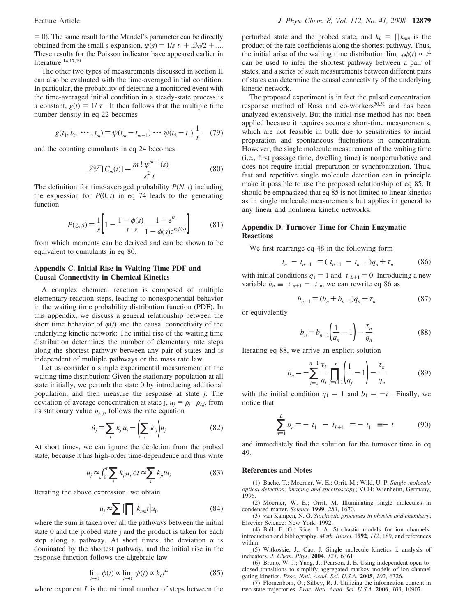$= 0$ ). The same result for the Mandel's parameter can be directly obtained from the small s-expansion,  $\psi(s) = 1/s(t) + 2M/2 + ...$ These results for the Poisson indicator have appeared earlier in literature.<sup>14,17,19</sup>

The other two types of measurements discussed in section II can also be evaluated with the time-averaged initial condition. In particular, the probability of detecting a monitored event with the time-averaged initial condition in a steady-state process is a constant,  $g(t) = 1/\langle \tau \rangle$ . It then follows that the multiple time number density in eq 22 becomes

$$
g(t_1, t_2, \cdots, t_m) = \psi(t_m - t_{m-1}) \cdots \psi(t_2 - t_1) \frac{1}{\langle t \rangle} \tag{79}
$$

and the counting cumulants in eq 24 becomes

$$
\mathcal{Z}\mathcal{T}[C_m(t)] = \frac{m! \psi^{m-1}(s)}{s^2 \langle t \rangle} \tag{80}
$$

The definition for time-averaged probability *P*(*N*, *t*) including the expression for  $P(0, t)$  in eq 74 leads to the generating function

$$
P(z, s) = \frac{1}{s} \left[ 1 - \frac{1 - \phi(s)}{\langle t \rangle s} \frac{1 - e^{iz}}{1 - \phi(s)e^{iz\phi(s)}} \right]
$$
 (81)  
from which moments can be derived and can be shown to be

equivalent to cumulants in eq 80.

# **Appendix C. Initial Rise in Waiting Time PDF and Causal Connectivity in Chemical Kinetics**

A complex chemical reaction is composed of multiple elementary reaction steps, leading to nonexponential behavior in the waiting time probability distribution function (PDF). In this appendix, we discuss a general relationship between the short time behavior of  $\phi(t)$  and the causal connectivity of the underlying kinetic network: The initial rise of the waiting time distribution determines the number of elementary rate steps along the shortest pathway between any pair of states and is independent of multiple pathways or the mass rate law.

Let us consider a simple experimental measurement of the waiting time distribution: Given the stationary population at all state initially, we perturb the state 0 by introducing additional population, and then measure the response at state *j*. The deviation of average concentration at state j,  $u_j = \rho_j - \rho_{s,j}$ , from its stationary value  $\rho_{s,j}$ , follows the rate equation

$$
\dot{u}_j = \sum_i k_{ji} u_i - \left(\sum_i k_{ij}\right) u_j \tag{82}
$$

At short times, we can ignore the depletion from the probed state, because it has high-order time-dependence and thus write

$$
u_j \approx \int_0^t \sum_i k_{ji} u_i \, \mathrm{d}t \approx \sum_i k_{ji} t u_i \tag{83}
$$

Iterating the above expression, we obtain

$$
u_j \approx \sum \left[ \prod k_{nm} t \right] u_0 \tag{84}
$$

where the sum is taken over all the pathways between the initial state 0 and the probed state j and the product is taken for each step along a pathway. At short times, the deviation *u* is dominated by the shortest pathway, and the initial rise in the response function follows the algebraic law

$$
\lim_{t \to 0} \phi(t) \propto \lim_{t \to 0} \psi(t) \propto k_L t^L
$$
\n(85)

where exponent *L* is the minimal number of steps between the

perturbed state and the probed state, and  $k_L = \prod k_{nm}$  is the product of the rate coefficients along the shortest pathway. Thus, the initial arise of the waiting time distribution  $\lim_{t\to 0}\phi(t) \propto t^L$ can be used to infer the shortest pathway between a pair of states, and a series of such measurements between different pairs of states can determine the causal connectivity of the underlying kinetic network.

The proposed experiment is in fact the pulsed concentration response method of Ross and co-workers<sup>50,51</sup> and has been analyzed extensively. But the initial-rise method has not been applied because it requires accurate short-time measurements, which are not feasible in bulk due to sensitivities to initial preparation and spontaneous fluctuations in concentration. However, the single molecule measurement of the waiting time (i.e., first passage time, dwelling time) is nonperturbative and does not require initial preparation or synchronization. Thus, fast and repetitive single molecule detection can in principle make it possible to use the proposed relationship of eq 85. It should be emphasized that eq 85 is not limited to linear kinetics as in single molecule measurements but applies in general to any linear and nonlinear kinetic networks.

# **Appendix D. Turnover Time for Chain Enzymatic Reactions**

We first rearrange eq 48 in the following form

$$
\langle t_n \rangle - \langle t_{n-1} \rangle = (\langle t_{n+1} \rangle - \langle t_{n-1} \rangle) q_n + \tau_n \tag{86}
$$

with initial conditions  $q_1 = 1$  and  $\langle t \rangle_{L+1} = 0$ . Introducing a new variable  $b_n \equiv \langle t \rangle_{n+1} - \langle t \rangle_n$ , we can rewrite eq 86 as

$$
b_{n-1} = (b_n + b_{n-1})q_n + \tau_n \tag{87}
$$

or equivalently

$$
b_n = b_{n-1} \left(\frac{1}{q_n} - 1\right) - \frac{\tau_n}{q_n} \tag{88}
$$

Iterating eq 88, we arrive an explicit solution

$$
b_n = -\sum_{i=1}^{n-1} \frac{\tau_i}{q_i} \prod_{j=i+1}^n \left(\frac{1}{q_j} - 1\right) - \frac{\tau_n}{q_n}
$$
(89)

with the initial condition  $q_1 = 1$  and  $b_1 = -\tau_1$ . Finally, we notice that

$$
\sum_{n=1}^{L} b_n = -\langle t_1 \rangle + \langle t_{L+1} \rangle = -\langle t_1 \rangle \equiv -\langle t \rangle \tag{90}
$$

and immediately find the solution for the turnover time in eq 49.

#### **References and Notes**

(1) Bache, T.; Moerner, W. E.; Orrit, M.; Wild. U. P. *Single-molecule optical detection, imaging and spectroscopy*; VCH: Wienheim, Germany, 1996.

(2) Moerner, W. E.; Orrit, M. Illuminating single molecules in condensed matter. *Science* **1999**, *283*, 1670.

(3) van Kampen, N. G. *Stochastic processes in physics and chemistry*; Elsevier Science: New York, 1992.

(4) Ball, F. G.; Rice, J. A. Stochastic models for ion channels: introduction and bibliography. *Math. Biosci.* **1992**, *112*, 189, and references within.

(5) Witkoskie, J.; Cao, J. Single molecule kinetics i. analysis of indicators. *J. Chem. Phys.* **2004**, *121*, 6361.

(6) Bruno, W. J.; Yang, J.; Pearson, J. E. Using independent open-toclosed transitions to simplify aggregated markov models of ion channel gating kinetics. *Proc. Natl. Acad. Sci. U.S.A.* **2005**, *102*, 6326.

(7) Flomenbom, O.; Silbey, R. J. Utilizing the information content in two-state trajectories. *Proc. Natl. Acad. Sci. U.S.A.* **2006**, *103*, 10907.